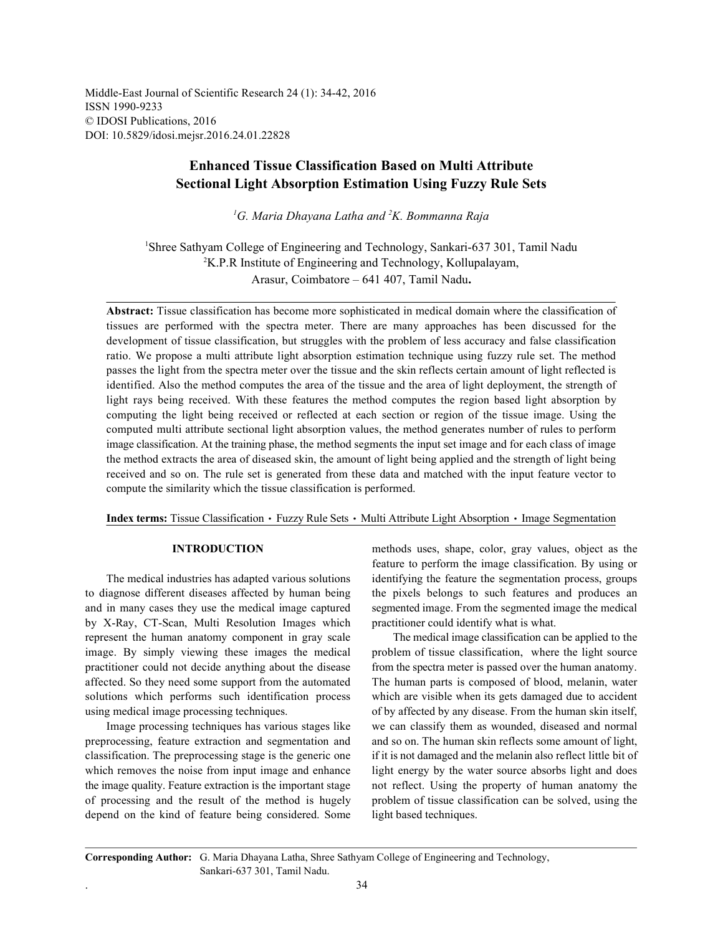Middle-East Journal of Scientific Research 24 (1): 34-42, 2016 ISSN 1990-9233 © IDOSI Publications, 2016 DOI: 10.5829/idosi.mejsr.2016.24.01.22828

# **Enhanced Tissue Classification Based on Multi Attribute Sectional Light Absorption Estimation Using Fuzzy Rule Sets**

<sup>1</sup>G. Maria Dhayana Latha and <sup>2</sup>K. Bommanna Raja

<sup>1</sup>Shree Sathyam College of Engineering and Technology, Sankari-637 301, Tamil Nadu  $K^2$ K.P.R Institute of Engineering and Technology, Kollupalayam, Arasur, Coimbatore – 641 407, Tamil Nadu**.**

**Abstract:** Tissue classification has become more sophisticated in medical domain where the classification of tissues are performed with the spectra meter. There are many approaches has been discussed for the development of tissue classification, but struggles with the problem of less accuracy and false classification ratio. We propose a multi attribute light absorption estimation technique using fuzzy rule set. The method passes the light from the spectra meter over the tissue and the skin reflects certain amount of light reflected is identified. Also the method computes the area of the tissue and the area of light deployment, the strength of light rays being received. With these features the method computes the region based light absorption by computing the light being received or reflected at each section or region of the tissue image. Using the computed multi attribute sectional light absorption values, the method generates number of rules to perform image classification. At the training phase, the method segments the input set image and for each class of image the method extracts the area of diseased skin, the amount of light being applied and the strength of light being received and so on. The rule set is generated from these data and matched with the input feature vector to compute the similarity which the tissue classification is performed.

Index terms: Tissue Classification · Fuzzy Rule Sets · Multi Attribute Light Absorption · Image Segmentation

to diagnose different diseases affected by human being the pixels belongs to such features and produces an and in many cases they use the medical image captured segmented image. From the segmented image the medical by X-Ray, CT-Scan, Multi Resolution Images which practitioner could identify what is what. represent the human anatomy component in gray scale The medical image classification can be applied to the image. By simply viewing these images the medical problem of tissue classification, where the light source practitioner could not decide anything about the disease from the spectra meter is passed over the human anatomy. affected. So they need some support from the automated The human parts is composed of blood, melanin, water solutions which performs such identification process which are visible when its gets damaged due to accident using medical image processing techniques. of by affected by any disease. From the human skin itself,

preprocessing, feature extraction and segmentation and and so on. The human skin reflects some amount of light, classification. The preprocessing stage is the generic one if it is not damaged and the melanin also reflect little bit of which removes the noise from input image and enhance light energy by the water source absorbs light and does the image quality. Feature extraction is the important stage not reflect. Using the property of human anatomy the of processing and the result of the method is hugely problem of tissue classification can be solved, using the depend on the kind of feature being considered. Some light based techniques.

**INTRODUCTION** methods uses, shape, color, gray values, object as the The medical industries has adapted various solutions identifying the feature the segmentation process, groups feature to perform the image classification. By using or

Image processing techniques has various stages like we can classify them as wounded, diseased and normal

**Corresponding Author:** G. Maria Dhayana Latha, Shree Sathyam College of Engineering and Technology, Sankari-637 301, Tamil Nadu.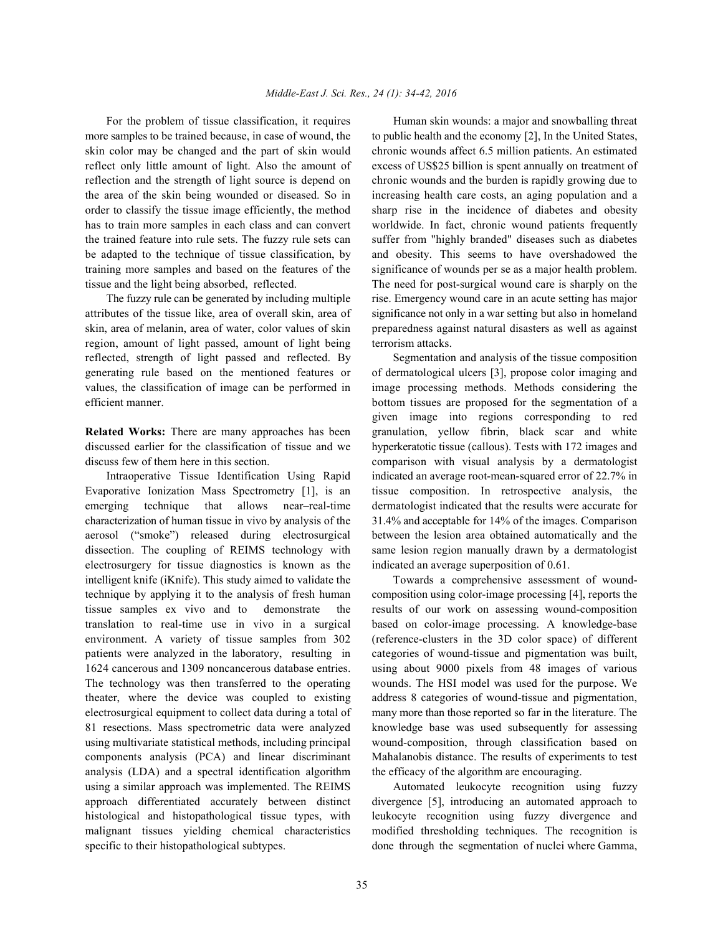more samples to be trained because, in case of wound, the to public health and the economy [2], In the United States, skin color may be changed and the part of skin would chronic wounds affect 6.5 million patients. An estimated reflect only little amount of light. Also the amount of excess of US\$25 billion is spent annually on treatment of reflection and the strength of light source is depend on chronic wounds and the burden is rapidly growing due to the area of the skin being wounded or diseased. So in increasing health care costs, an aging population and a order to classify the tissue image efficiently, the method sharp rise in the incidence of diabetes and obesity has to train more samples in each class and can convert worldwide. In fact, chronic wound patients frequently the trained feature into rule sets. The fuzzy rule sets can suffer from "highly branded" diseases such as diabetes be adapted to the technique of tissue classification, by and obesity. This seems to have overshadowed the training more samples and based on the features of the significance of wounds per se as a major health problem. tissue and the light being absorbed, reflected. The need for post-surgical wound care is sharply on the

attributes of the tissue like, area of overall skin, area of significance not only in a war setting but also in homeland skin, area of melanin, area of water, color values of skin preparedness against natural disasters as well as against region, amount of light passed, amount of light being terrorism attacks. reflected, strength of light passed and reflected. By Segmentation and analysis of the tissue composition generating rule based on the mentioned features or of dermatological ulcers [3], propose color imaging and values, the classification of image can be performed in image processing methods. Methods considering the efficient manner. bottom tissues are proposed for the segmentation of a

discussed earlier for the classification of tissue and we hyperkeratotic tissue (callous). Tests with 172 images and

Evaporative Ionization Mass Spectrometry [1], is an tissue composition. In retrospective analysis, the emerging technique that allows near–real-time dermatologist indicated that the results were accurate for characterization of human tissue in vivo by analysis of the 31.4% and acceptable for 14% of the images. Comparison aerosol ("smoke") released during electrosurgical between the lesion area obtained automatically and the dissection. The coupling of REIMS technology with same lesion region manually drawn by a dermatologist electrosurgery for tissue diagnostics is known as the indicated an average superposition of 0.61. intelligent knife (iKnife). This study aimed to validate the Towards a comprehensive assessment of woundtechnique by applying it to the analysis of fresh human composition using color-image processing [4], reports the tissue samples ex vivo and to demonstrate the results of our work on assessing wound-composition translation to real-time use in vivo in a surgical based on color-image processing. A knowledge-base environment. A variety of tissue samples from 302 (reference-clusters in the 3D color space) of different patients were analyzed in the laboratory, resulting in categories of wound-tissue and pigmentation was built, 1624 cancerous and 1309 noncancerous database entries. using about 9000 pixels from 48 images of various The technology was then transferred to the operating wounds. The HSI model was used for the purpose. We theater, where the device was coupled to existing address 8 categories of wound-tissue and pigmentation, electrosurgical equipment to collect data during a total of many more than those reported so far in the literature. The 81 resections. Mass spectrometric data were analyzed knowledge base was used subsequently for assessing using multivariate statistical methods, including principal wound-composition, through classification based on components analysis (PCA) and linear discriminant Mahalanobis distance. The results of experiments to test analysis (LDA) and a spectral identification algorithm the efficacy of the algorithm are encouraging. using a similar approach was implemented. The REIMS Automated leukocyte recognition using fuzzy approach differentiated accurately between distinct divergence [5], introducing an automated approach to histological and histopathological tissue types, with leukocyte recognition using fuzzy divergence and malignant tissues yielding chemical characteristics modified thresholding techniques. The recognition is specific to their histopathological subtypes. done through the segmentation of nuclei where Gamma,

For the problem of tissue classification, it requires Human skin wounds: a major and snowballing threat The fuzzy rule can be generated by including multiple rise. Emergency wound care in an acute setting has major

**Related Works:** There are many approaches has been granulation, yellow fibrin, black scar and white discuss few of them here in this section. comparison with visual analysis by a dermatologist Intraoperative Tissue Identification Using Rapid indicated an average root-mean-squared error of 22.7% in given image into regions corresponding to red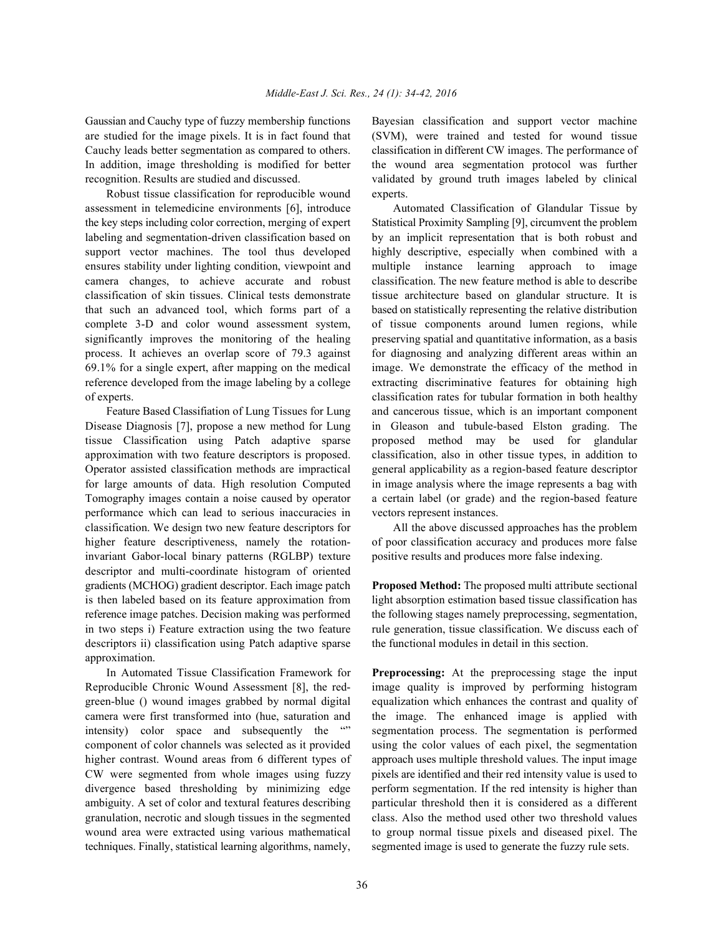are studied for the image pixels. It is in fact found that (SVM), were trained and tested for wound tissue Cauchy leads better segmentation as compared to others. classification in different CW images. The performance of In addition, image thresholding is modified for better the wound area segmentation protocol was further recognition. Results are studied and discussed. validated by ground truth images labeled by clinical

Robust tissue classification for reproducible wound experts. assessment in telemedicine environments [6], introduce Automated Classification of Glandular Tissue by the key steps including color correction, merging of expert Statistical Proximity Sampling [9], circumvent the problem labeling and segmentation-driven classification based on by an implicit representation that is both robust and support vector machines. The tool thus developed highly descriptive, especially when combined with a ensures stability under lighting condition, viewpoint and multiple instance learning approach to image camera changes, to achieve accurate and robust classification. The new feature method is able to describe classification of skin tissues. Clinical tests demonstrate tissue architecture based on glandular structure. It is that such an advanced tool, which forms part of a based on statistically representing the relative distribution complete 3-D and color wound assessment system, of tissue components around lumen regions, while significantly improves the monitoring of the healing preserving spatial and quantitative information, as a basis process. It achieves an overlap score of 79.3 against for diagnosing and analyzing different areas within an 69.1% for a single expert, after mapping on the medical image. We demonstrate the efficacy of the method in reference developed from the image labeling by a college extracting discriminative features for obtaining high of experts. classification rates for tubular formation in both healthy

Disease Diagnosis [7], propose a new method for Lung in Gleason and tubule-based Elston grading. The tissue Classification using Patch adaptive sparse proposed method may be used for glandular approximation with two feature descriptors is proposed. classification, also in other tissue types, in addition to Operator assisted classification methods are impractical general applicability as a region-based feature descriptor for large amounts of data. High resolution Computed in image analysis where the image represents a bag with Tomography images contain a noise caused by operator a certain label (or grade) and the region-based feature performance which can lead to serious inaccuracies in vectors represent instances. classification. We design two new feature descriptors for All the above discussed approaches has the problem higher feature descriptiveness, namely the rotation- of poor classification accuracy and produces more false invariant Gabor-local binary patterns (RGLBP) texture positive results and produces more false indexing. descriptor and multi-coordinate histogram of oriented gradients (MCHOG) gradient descriptor. Each image patch **Proposed Method:** The proposed multi attribute sectional is then labeled based on its feature approximation from light absorption estimation based tissue classification has reference image patches. Decision making was performed the following stages namely preprocessing, segmentation, in two steps i) Feature extraction using the two feature rule generation, tissue classification. We discuss each of descriptors ii) classification using Patch adaptive sparse the functional modules in detail in this section. approximation.

Reproducible Chronic Wound Assessment [8], the red- image quality is improved by performing histogram green-blue () wound images grabbed by normal digital equalization which enhances the contrast and quality of camera were first transformed into (hue, saturation and the image. The enhanced image is applied with intensity) color space and subsequently the "" segmentation process. The segmentation is performed component of color channels was selected as it provided using the color values of each pixel, the segmentation higher contrast. Wound areas from 6 different types of approach uses multiple threshold values. The input image CW were segmented from whole images using fuzzy pixels are identified and their red intensity value is used to divergence based thresholding by minimizing edge perform segmentation. If the red intensity is higher than ambiguity. A set of color and textural features describing particular threshold then it is considered as a different granulation, necrotic and slough tissues in the segmented class. Also the method used other two threshold values wound area were extracted using various mathematical to group normal tissue pixels and diseased pixel. The techniques. Finally, statistical learning algorithms, namely, segmented image is used to generate the fuzzy rule sets.

Gaussian and Cauchy type of fuzzy membership functions Bayesian classification and support vector machine

Feature Based Classifiation of Lung Tissues for Lung and cancerous tissue, which is an important component

In Automated Tissue Classification Framework for **Preprocessing:** At the preprocessing stage the input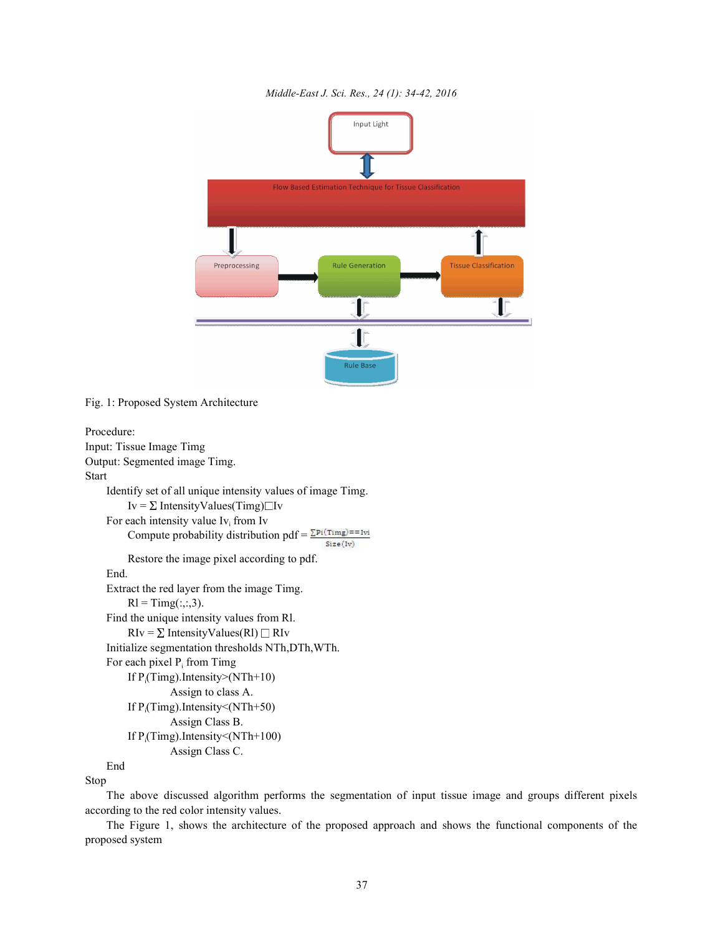



Fig. 1: Proposed System Architecture

```
Procedure:
Input: Tissue Image Timg
Output: Segmented image Timg.
Start
     Identify set of all unique intensity values of image Timg.
         Iv = \Sigma IntensityValues(Timg)\BoxIv
    For each intensity value Iv_i from Iv
         Compute probability distribution pdf = \frac{\sum P_i(Timg)}{=}==1vi
                                                       Size(1v)Restore the image pixel according to pdf.
    End.
     Extract the red layer from the image Timg.
         \text{R1} = \text{Timg}(:,:, 3).Find the unique intensity values from Rl.
         RIv = \Sigma IntensityValues(Rl) \Box RIv
     Initialize segmentation thresholds NTh,DTh,WTh.
    For each pixel P_i from Timg
         If P_i(Timg).Intensity>(NTh+10)
                   Assign to class A.
         If P_i(Timg).Intensity < (NTh+50)
                   Assign Class B.
         If P_i(Timg).Intensity < (NTh+100)
                   Assign Class C.
```
End

Stop

The above discussed algorithm performs the segmentation of input tissue image and groups different pixels according to the red color intensity values.

The Figure 1, shows the architecture of the proposed approach and shows the functional components of the proposed system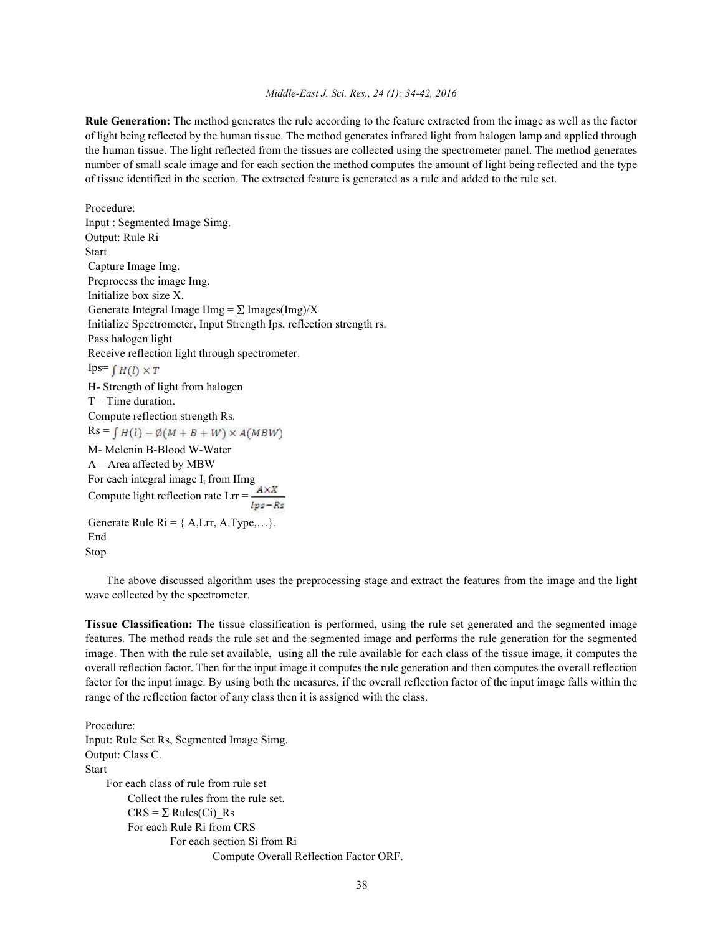### *Middle-East J. Sci. Res., 24 (1): 34-42, 2016*

**Rule Generation:** The method generates the rule according to the feature extracted from the image as well as the factor of light being reflected by the human tissue. The method generates infrared light from halogen lamp and applied through the human tissue. The light reflected from the tissues are collected using the spectrometer panel. The method generates number of small scale image and for each section the method computes the amount of light being reflected and the type of tissue identified in the section. The extracted feature is generated as a rule and added to the rule set.

Procedure: Input : Segmented Image Simg. Output: Rule Ri Start Capture Image Img. Preprocess the image Img. Initialize box size X. Generate Integral Image IImg =  $\Sigma$  Images(Img)/X Initialize Spectrometer, Input Strength Ips, reflection strength rs. Pass halogen light Receive reflection light through spectrometer. Ips= $\int H(l) \times T$  H- Strength of light from halogen T – Time duration. Compute reflection strength Rs.  $Rs = \int H(l) - \phi(M+B+W) \times A(MBW)$  M- Melenin B-Blood W-Water A – Area affected by MBW For each integral image  $I_i$  from IImg Compute light reflection rate Lrr = Generate Rule  $\text{Ri} = \{ \text{ A, Lrr, A. Type}, \ldots \}.$  End Stop

The above discussed algorithm uses the preprocessing stage and extract the features from the image and the light wave collected by the spectrometer.

**Tissue Classification:** The tissue classification is performed, using the rule set generated and the segmented image features. The method reads the rule set and the segmented image and performs the rule generation for the segmented image. Then with the rule set available, using all the rule available for each class of the tissue image, it computes the overall reflection factor. Then for the input image it computes the rule generation and then computes the overall reflection factor for the input image. By using both the measures, if the overall reflection factor of the input image falls within the range of the reflection factor of any class then it is assigned with the class.

Procedure: Input: Rule Set Rs, Segmented Image Simg. Output: Class C. **Start** For each class of rule from rule set Collect the rules from the rule set.  $CRS = \Sigma \text{ Rules}(Ci)$  Rs For each Rule Ri from CRS For each section Si from Ri Compute Overall Reflection Factor ORF.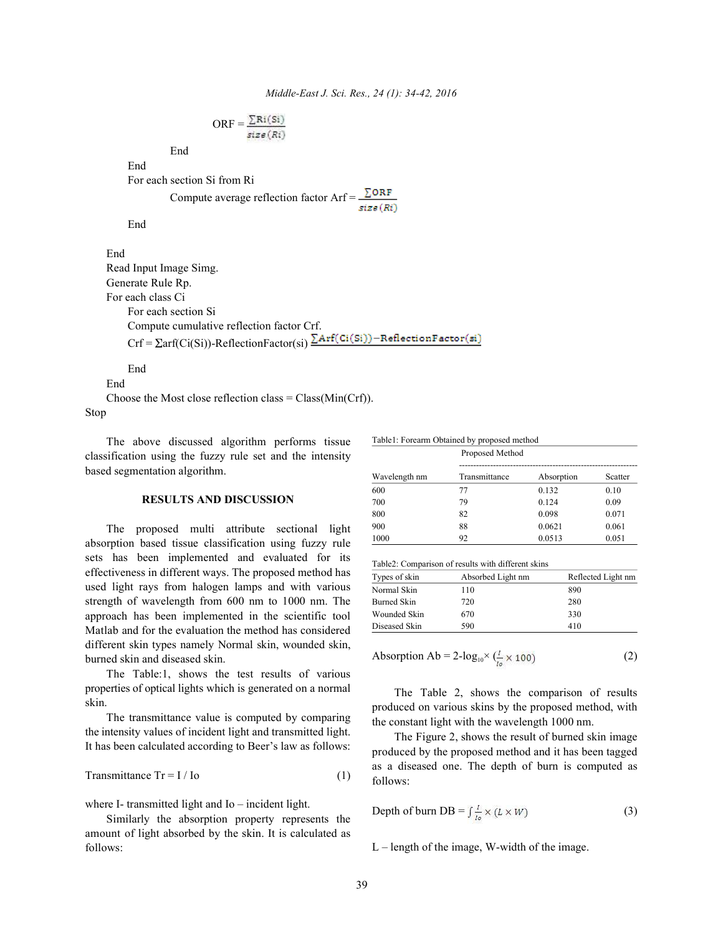$$
ORF = \frac{\sum Ri(Si)}{size(Ri)}
$$

End

For each section Si from Ri

Compute average reflection factor  $Arf = \frac{\sum ORF}{size(Ri)}$ 

End

End

End

Read Input Image Simg. Generate Rule Rp. For each class Ci For each section Si Compute cumulative reflection factor Crf.  $Crf = \sum arf(Ci(Si))$ -ReflectionFactor(si) $\sum Arf(Ci(Si))$ -ReflectionFactor(si)

End

End

Choose the Most close reflection class  $= Class(Min(Crf))$ . Stop

The above discussed algorithm performs tissue classification using the fuzzy rule set and the intensity based segmentation algorithm.

### **RESULTS AND DISCUSSION**

The proposed multi attribute sectional light absorption based tissue classification using fuzzy rule sets has been implemented and evaluated for its effectiveness in different ways. The proposed method has used light rays from halogen lamps and with various strength of wavelength from 600 nm to 1000 nm. The approach has been implemented in the scientific tool Matlab and for the evaluation the method has considered different skin types namely Normal skin, wounded skin, burned skin and diseased skin.

The Table:1, shows the test results of various properties of optical lights which is generated on a normal skin.

The transmittance value is computed by comparing the intensity values of incident light and transmitted light. It has been calculated according to Beer's law as follows:

$$
Transmittance Tr = I / Io
$$
 (1)

where I- transmitted light and Io – incident light.

Similarly the absorption property represents the amount of light absorbed by the skin. It is calculated as follows:

|               | Proposed Method |            |         |
|---------------|-----------------|------------|---------|
| Wavelength nm | Transmittance   | Absorption | Scatter |
| 600           | 77              | 0.132      | 0.10    |
| 700           | 79              | 0.124      | 0.09    |
| 800           | 82              | 0.098      | 0.071   |
| 900           | 88              | 0.0621     | 0.061   |
| 1000          | 92              | 0.0513     | 0.051   |

Table2: Comparison of results with different skins

Table1: Forearm Obtained by proposed method

| Types of skin | Absorbed Light nm | Reflected Light nm |  |
|---------------|-------------------|--------------------|--|
| Normal Skin   | 110               | 890                |  |
| Burned Skin   | 720               | 280                |  |
| Wounded Skin  | 670               | 330                |  |
| Diseased Skin | 590               | 410                |  |

$$
Absorption Ab = 2-log_{10} \times \left(\frac{l}{l_0} \times 100\right) \tag{2}
$$

The Table 2, shows the comparison of results produced on various skins by the proposed method, with the constant light with the wavelength 1000 nm.

The Figure 2, shows the result of burned skin image produced by the proposed method and it has been tagged as a diseased one. The depth of burn is computed as follows:

Depth of burn DB = 
$$
\int_{t_2}^{L} \times (L \times W)
$$
 (3)

L – length of the image, W-width of the image.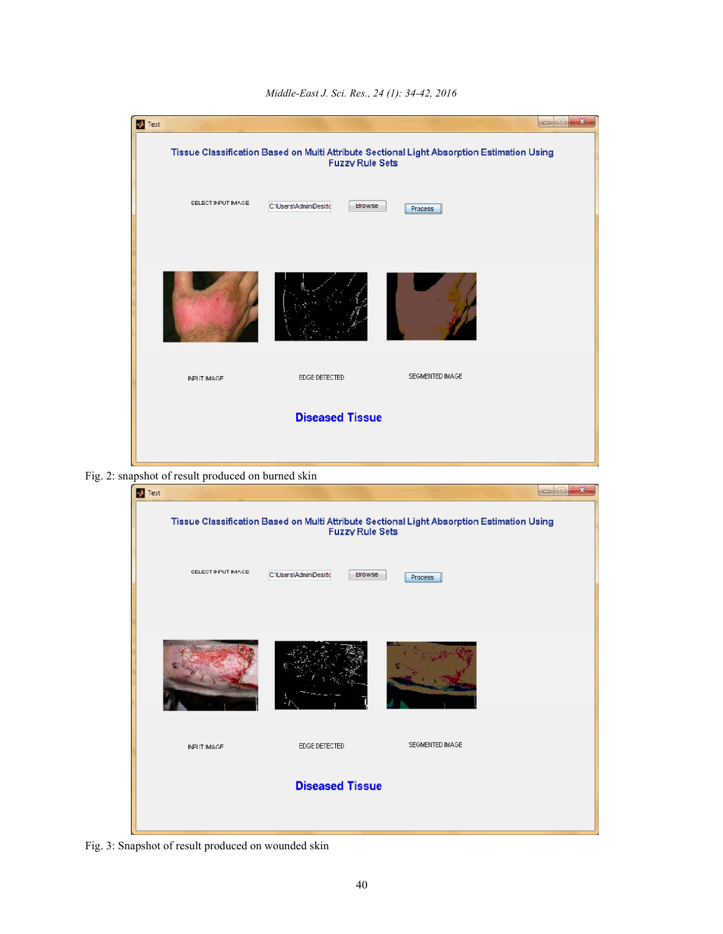| Test                   | Tissue Classification Based on Multi Attribute Sectional Light Absorption Estimation Using<br><b>Fuzzy Rule Sets</b> |                 | $\mathbf{x}$<br>$\blacksquare$ |  |
|------------------------|----------------------------------------------------------------------------------------------------------------------|-----------------|--------------------------------|--|
| SELECT INPUT IMAGE     | C: \Users\Admin\Deskto<br>Browse                                                                                     | Process         |                                |  |
|                        |                                                                                                                      |                 |                                |  |
| <b>INPUT IMAGE</b>     | EDGE DETECTED                                                                                                        | SEGMENTED IMAGE |                                |  |
| <b>Diseased Tissue</b> |                                                                                                                      |                 |                                |  |

*Middle-East J. Sci. Res., 24 (1): 34-42, 2016*

Fig. 2: snapshot of result produced on burned skin



Fig. 3: Snapshot of result produced on wounded skin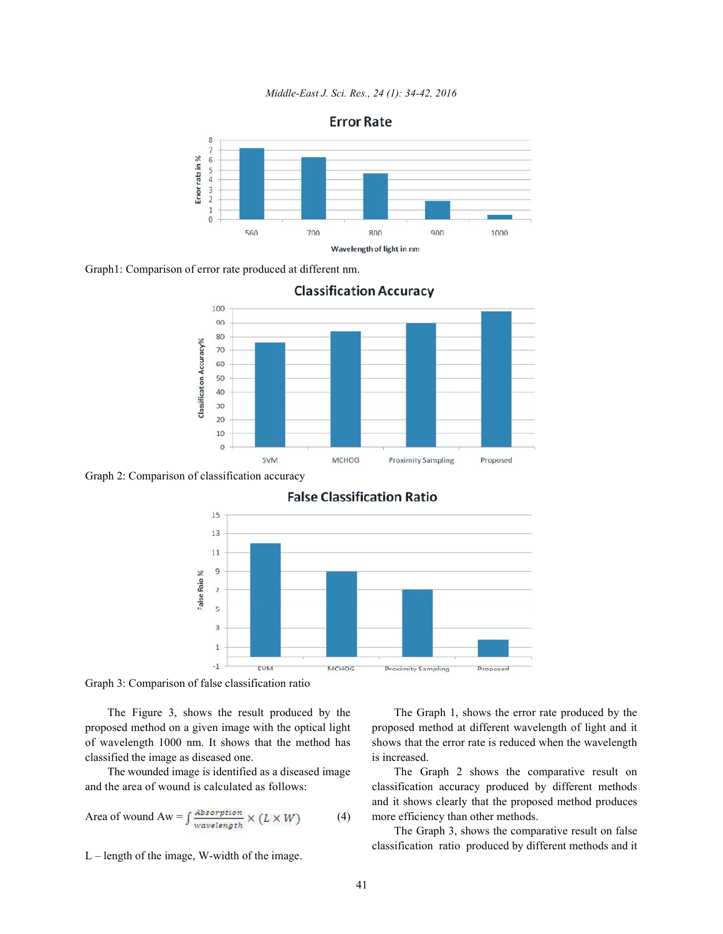*Middle-East J. Sci. Res., 24 (1): 34-42, 2016*



Graph1: Comparison of error rate produced at different nm.



**Classification Accuracy** 

Graph 2: Comparison of classification accuracy



## **False Classification Ratio**

Graph 3: Comparison of false classification ratio

proposed method on a given image with the optical light proposed method at different wavelength of light and it of wavelength 1000 nm. It shows that the method has shows that the error rate is reduced when the wavelength classified the image as diseased one. is increased.

Area of wound Aw = 
$$
\int \frac{Absorption}{wavelength} \times (L \times W)
$$
 (4)

L – length of the image, W-width of the image.

The Figure 3, shows the result produced by the The Graph 1, shows the error rate produced by the

The wounded image is identified as a diseased image The Graph 2 shows the comparative result on and the area of wound is calculated as follows: classification accuracy produced by different methods and it shows clearly that the proposed method produces more efficiency than other methods.

> The Graph 3, shows the comparative result on false classification ratio produced by different methods and it